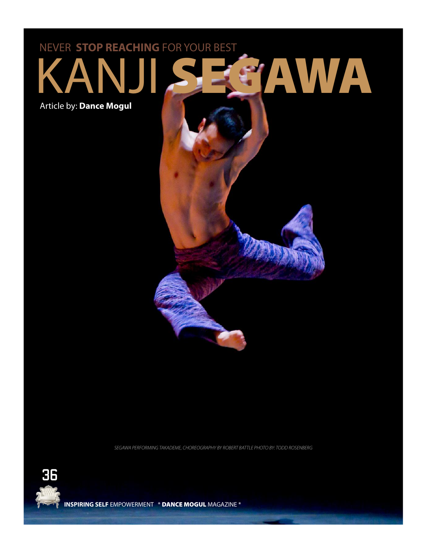## NJI SEGAWA NEVER **STOP REACHING** FOR YOUR BEST Article by: **Dance Mogul**

SEGAWA PERFORMING TAKADEME, CHOREOGRAPHY BY ROBERT BATTLE PHOTO BY: TODD ROSENBERG



**INSPIRING SELF** EMPOWERMENT \* DANCE MOGUL MAGAZINE \*